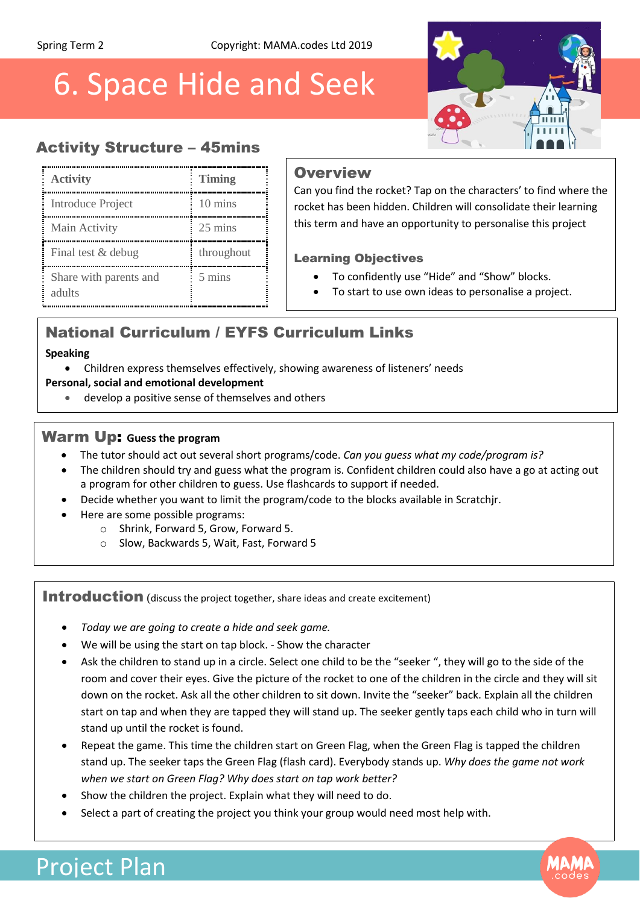# 6. Space Hide and Seek



## Activity Structure – 45mins

| <b>Activity</b>                  | <b>Timing</b>    |
|----------------------------------|------------------|
| Introduce Project                | 10 mins          |
| Main Activity                    | 25 mins          |
| Final test & debug               | throughout       |
| Share with parents and<br>adults | $5 \text{ mins}$ |

#### **Overview**

Can you find the rocket? Tap on the characters' to find where the rocket has been hidden. Children will consolidate their learning this term and have an opportunity to personalise this project

#### Learning Objectives

- To confidently use "Hide" and "Show" blocks.
- To start to use own ideas to personalise a project.

## National Curriculum / EYFS Curriculum Links

#### **Speaking**

Children express themselves effectively, showing awareness of listeners' needs

#### **Personal, social and emotional development**

develop a positive sense of themselves and others

#### Warm Up: **Guess the program**

- The tutor should act out several short programs/code. *Can you guess what my code/program is?*
- The children should try and guess what the program is. Confident children could also have a go at acting out a program for other children to guess. Use flashcards to support if needed.
- Decide whether you want to limit the program/code to the blocks available in Scratchjr.
- Here are some possible programs:
	- o Shrink, Forward 5, Grow, Forward 5.
	- o Slow, Backwards 5, Wait, Fast, Forward 5

Introduction (discuss the project together, share ideas and create excitement)

- *Today we are going to create a hide and seek game.*
- We will be using the start on tap block. Show the character
- Ask the children to stand up in a circle. Select one child to be the "seeker ", they will go to the side of the room and cover their eyes. Give the picture of the rocket to one of the children in the circle and they will sit down on the rocket. Ask all the other children to sit down. Invite the "seeker" back. Explain all the children start on tap and when they are tapped they will stand up. The seeker gently taps each child who in turn will stand up until the rocket is found.
- Repeat the game. This time the children start on Green Flag, when the Green Flag is tapped the children stand up. The seeker taps the Green Flag (flash card). Everybody stands up. *Why does the game not work when we start on Green Flag? Why does start on tap work better?*
- Show the children the project. Explain what they will need to do.
- Select a part of creating the project you think your group would need most help with.